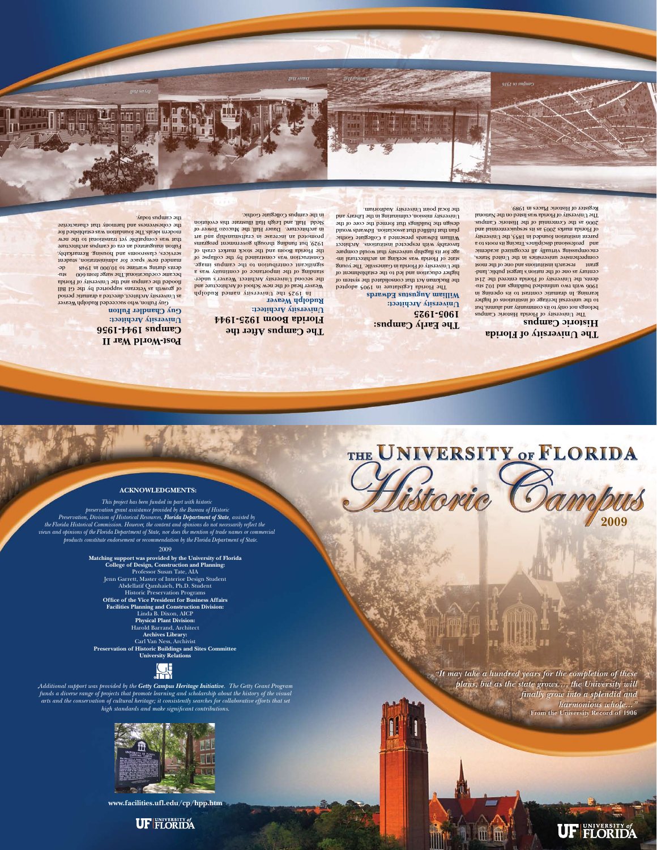#### **ACKNOWLEDGMENTS:**

*This project has been funded in part with historic preservation grant assistance provided by the Bureau of Historic Preservation, Division of Historical Resources, Florida Department of State, assisted by the Florida Historical Commission. However, the content and opinions do not necessarily reflect the views and opinions of the Florida Department of State, nor does the mention of trade names or commercial products constitute endorsement or recommendation by the Florida Department of State.*

#### 2009

**Matching support was provided by the University of Florida College of Design, Construction and Planning:** Professor Susan Tate, AIA Jenn Garrett, Master of Interior Design Student Abdellatif Qamhaieh, Ph.D. Student Historic Preservation Programs **Office of the Vice President for Business Affairs Facilities Planning and Construction Division:** Linda B. Dixon, AICP **Physical Plant Division:** Harold Barrand, Architect **Archives Library:** Carl Van Ness, Archivist **Preservation of Historic Buildings and Sites Committee University Relations**

*Additional support was provided by the Getty Campus Heritage Initiative. The Getty Grant Program funds a diverse range of projects that promote learning and scholarship about the history of the visual arts and the conservation of cultural heritage; it consistently searches for collaborative efforts that set high standards and make significant contributions.*



## **The University of Florida Historic Campus**

In 1925 the University named Rudolph Weaver head of the new School of Architecture and the second University Architect. Weaver's understanding of the importance of continuity was a significant contribution to the campus image. Construction was constrained by the collapse of the Florida Boom and the stock market crash of 1929, but funding a government programs surfaus promoted an increase in craftsmanship and art in architecture. Dauer Hall, the Mucozo Tower of Sledd Hall, and Leigh Hall illustrate this evolution in the campus Collegiate Gothic.

## **The Early Campus: 1905-1925 University Architect: William Augustus Edwards**

The Florida Legislature in 1905 adopted the Buckman Act that consolidated the system of higher education and led to the establishment of the University of Florida in Gainesville. The young state of Florida was seeking an architectural image for its flagship university that would compare favorably with respected institutions. Architect William Edwards presented a Collegiate Gothic plan that huffilled that association. Edwards would design the building that formed the core of the University mission, culminating in the Library and  $\ln$ the focal point  $\text{Univ}$  arisory Auditorium.

The University of Florida Historic Campus belongs not only to its community and alumni, but to the universal heritage of institutions of higher learning. In dramatic contrast to its opening in 1906 with two unfinition parameters and 102 students, the University of Florida entered the 21st century as one of the nation's largest public, landgrant research institutions and one of the most comprehensive universities in the United States, encompassing virtually all recognized academic and professional disciplines. Tracing its roots to a parent institution founded in 1853, the University of Florida marks 2003 as its sesquicentennial and 2006 as the Centennial of the Historic Campus. The University of Florida was listed on the National Register of Historic Places in 1989.

## **The Campus After the Florida Boom 1925-1944 University Architect: Rudolph Weaver**

# THE UNIVERSITY OF FLORIDA

## **Post-World War II Campus 1944-1956 University Architect: Guy Chandler Fulton**

Guy Fulton, who succeeded Rudolph Weaver as University Architect, directed a dramatic period of growth as  $V$ eterans supported by the GI Bill flooded the campus and the University of Florida became coeducational. The surge from 600 students during wartime to 10,000 in 1948 emanded new space for administration, student services, classrooms and housing. Remarkably, Fulton inaugurated an era of campus architecture that was compatible yet transitional to the new modern ideals. The foundation was established for the cohesiveness and harmony that characterize

the campus today.

*Bryan Hall*

*Dauer Hall Thomas Hall HallThomas Hall*

*Campus in 1916 in 1916*

**www.facilities.ufl.edu/cp/hpp.htm**

## **UF FLORIDA**

"It may take a hundred years for the completion of these plans, but as the state grows..., the University will finally grow into a splendid and harmonious whole..." From the University Record of 1906

**2009**

UF FLORIDA